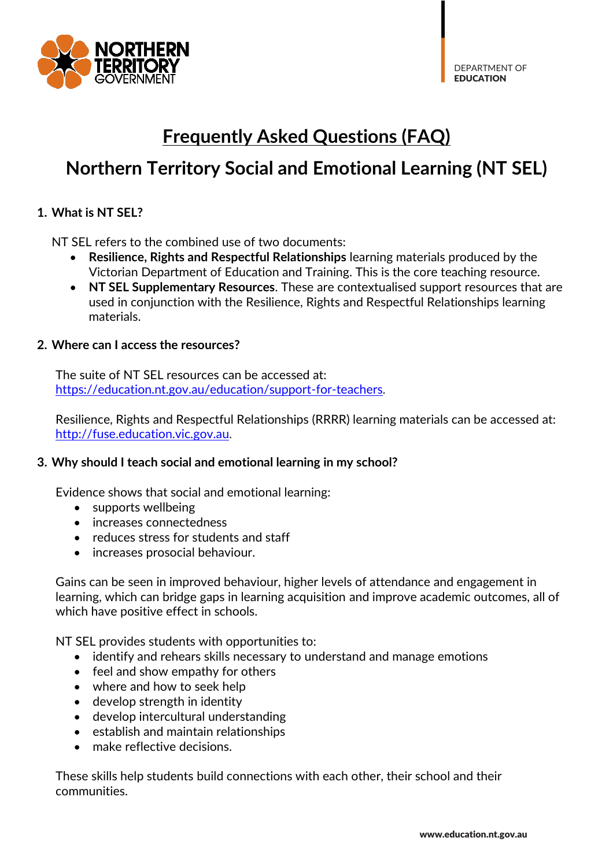

## **Frequently Asked Questions (FAQ)**

# **Northern Territory Social and Emotional Learning (NT SEL)**

## **1. What is NT SEL?**

NT SEL refers to the combined use of two documents:

- **Resilience, Rights and Respectful Relationships** learning materials produced by the Victorian Department of Education and Training. This is the core teaching resource.
- **NT SEL Supplementary Resources**. These are contextualised support resources that are used in conjunction with the Resilience, Rights and Respectful Relationships learning materials.

## **2. Where can I access the resources?**

The suite of NT SEL resources can be accessed at: <https://education.nt.gov.au/education/support-for-teachers>.

Resilience, Rights and Respectful Relationships (RRRR) learning materials can be accessed at: [http://fuse.education.vic.gov.au](http://fuse.education.vic.gov.au/ResourcePackage/ByPin?pin=2JZX4R).

## **3. Why should I teach social and emotional learning in my school?**

Evidence shows that social and emotional learning:

- supports wellbeing
- increases connectedness
- reduces stress for students and staff
- increases prosocial behaviour.

Gains can be seen in improved behaviour, higher levels of attendance and engagement in learning, which can bridge gaps in learning acquisition and improve academic outcomes, all of which have positive effect in schools.

NT SEL provides students with opportunities to:

- identify and rehears skills necessary to understand and manage emotions
- feel and show empathy for others
- where and how to seek help
- develop strength in identity
- develop intercultural understanding
- establish and maintain relationships
- make reflective decisions.

These skills help students build connections with each other, their school and their communities.